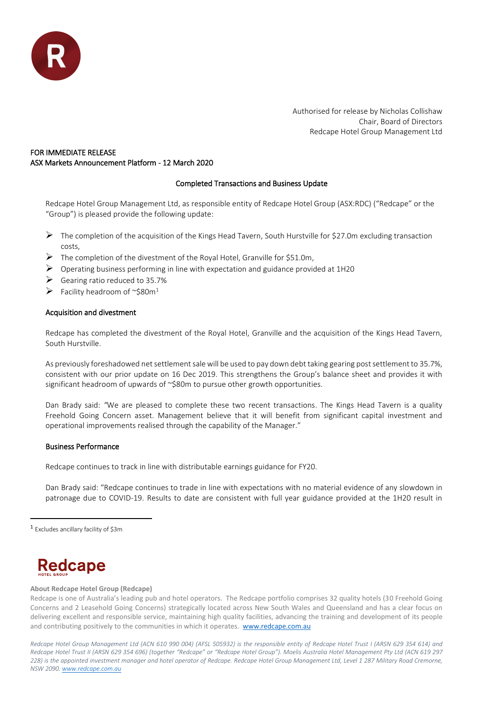

Authorised for release by Nicholas Collishaw Chair, Board of Directors Redcape Hotel Group Management Ltd

# FOR IMMEDIATE RELEASE ASX Markets Announcement Platform - 12 March 2020

# Completed Transactions and Business Update

Redcape Hotel Group Management Ltd, as responsible entity of Redcape Hotel Group (ASX:RDC) ("Redcape" or the "Group") is pleased provide the following update:

- ➢ The completion of the acquisition of the Kings Head Tavern, South Hurstville for \$27.0m excluding transaction costs,
- $\triangleright$  The completion of the divestment of the Royal Hotel, Granville for \$51.0m,
- $\triangleright$  Operating business performing in line with expectation and guidance provided at 1H20
- $\triangleright$  Gearing ratio reduced to 35.7%
- $\triangleright$  Facility headroom of ~\$80m<sup>1</sup>

# Acquisition and divestment

Redcape has completed the divestment of the Royal Hotel, Granville and the acquisition of the Kings Head Tavern, South Hurstville.

As previously foreshadowed net settlement sale will be used to pay down debt taking gearing post settlement to 35.7%, consistent with our prior update on 16 Dec 2019. This strengthens the Group's balance sheet and provides it with significant headroom of upwards of ~\$80m to pursue other growth opportunities.

Dan Brady said: *"*We are pleased to complete these two recent transactions. The Kings Head Tavern is a quality Freehold Going Concern asset. Management believe that it will benefit from significant capital investment and operational improvements realised through the capability of the Manager."

# Business Performance

Redcape continues to track in line with distributable earnings guidance for FY20.

Dan Brady said: "Redcape continues to trade in line with expectations with no material evidence of any slowdown in patronage due to COVID-19. Results to date are consistent with full year guidance provided at the 1H20 result in

l

# Redcape

### **About Redcape Hotel Group (Redcape)**

Redcape is one of Australia's leading pub and hotel operators. The Redcape portfolio comprises 32 quality hotels (30 Freehold Going Concerns and 2 Leasehold Going Concerns) strategically located across New South Wales and Queensland and has a clear focus on delivering excellent and responsible service, maintaining high quality facilities, advancing the training and development of its people and contributing positively to the communities in which it operates. [www.redcape.com.au](http://www.redcape.com.au/)

*Redcape Hotel Group Management Ltd (ACN 610 990 004) (AFSL 505932) is the responsible entity of Redcape Hotel Trust I (ARSN 629 354 614) and Redcape Hotel Trust II (ARSN 629 354 696) (together "Redcape" or "Redcape Hotel Group"). Moelis Australia Hotel Management Pty Ltd (ACN 619 297 228) is the appointed investment manager and hotel operator of Redcape. Redcape Hotel Group Management Ltd, Level 1 287 Military Road Cremorne, NSW 2090[. www.redcape.com.au](http://www.redcape.com.au/)*

<sup>1</sup> Excludes ancillary facility of \$3m